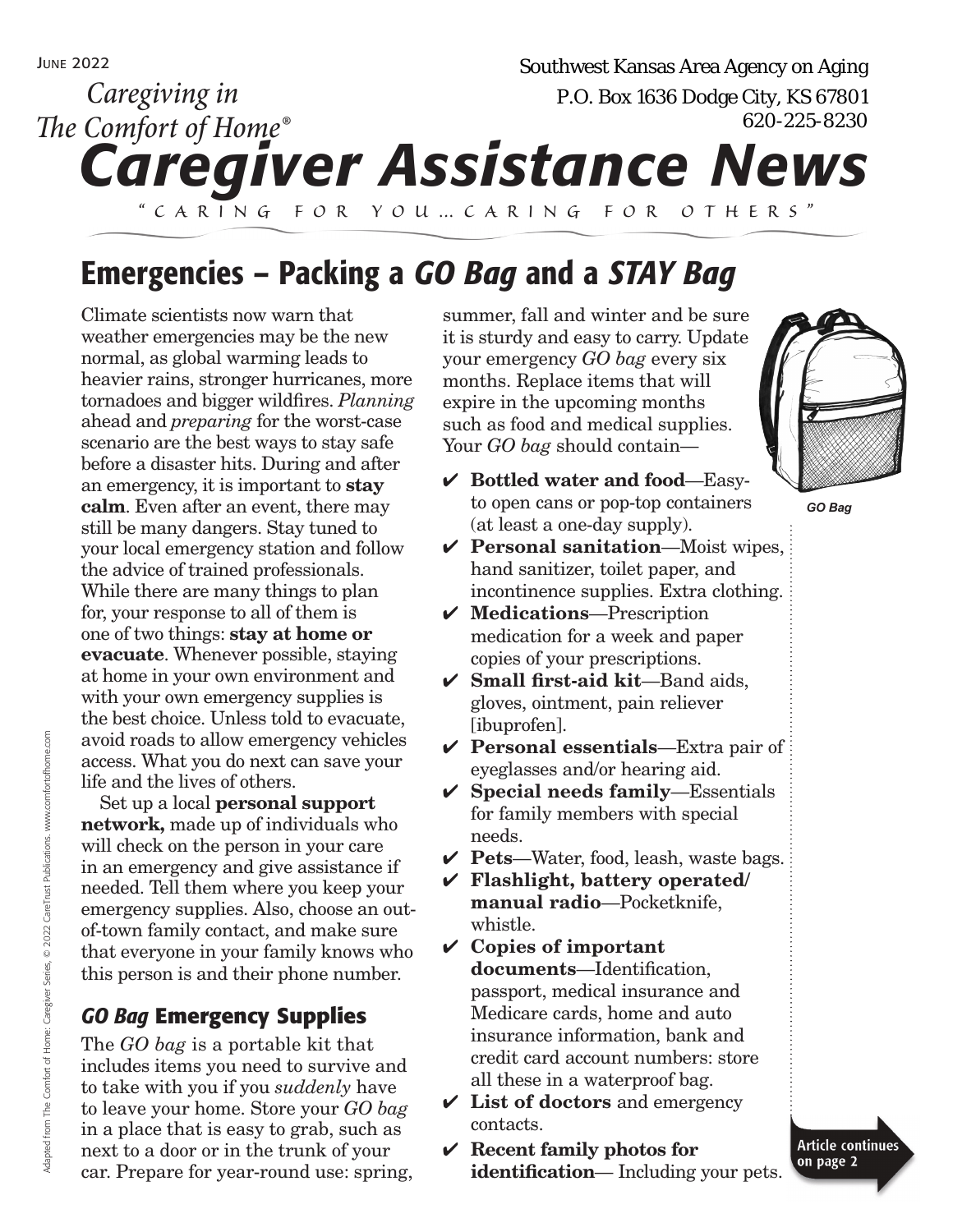# *Caregiver Assistance News "Caring for you… c aring for others" Caregiving in The Comfort of Home®* Southwest Kansas Area Agency on Aging<br>P.O. Box 1636 Dodge City, KS 67801<br>620-225-8230

# Emergencies – Packing a *GO Bag* and a *STAY Bag*

Climate scientists now warn that weather emergencies may be the new normal, as global warming leads to heavier rains, stronger hurricanes, more tornadoes and bigger wildfires. *Planning*  ahead and *preparing* for the worst-case scenario are the best ways to stay safe before a disaster hits. During and after an emergency, it is important to **stay calm**. Even after an event, there may still be many dangers. Stay tuned to your local emergency station and follow the advice of trained professionals. While there are many things to plan for, your response to all of them is one of two things: **stay at home or evacuate**. Whenever possible, staying at home in your own environment and with your own emergency supplies is the best choice. Unless told to evacuate, avoid roads to allow emergency vehicles access. What you do next can save your life and the lives of others.

Set up a local **personal support network,** made up of individuals who will check on the person in your care in an emergency and give assistance if needed. Tell them where you keep your emergency supplies. Also, choose an outof-town family contact, and make sure that everyone in your family knows who this person is and their phone number.

## *GO Bag* **Emergency Supplies**

The *GO bag* is a portable kit that includes items you need to survive and to take with you if you *suddenly* have to leave your home. Store your *GO bag* in a place that is easy to grab, such as next to a door or in the trunk of your car. Prepare for year-round use: spring,

summer, fall and winter and be sure it is sturdy and easy to carry. Update your emergency *GO bag* every six months. Replace items that will expire in the upcoming months such as food and medical supplies. Your *GO bag* should contain—

- ✔ **Bottled water and food**—Easyto open cans or pop-top containers (at least a one-day supply).
- ✔ **Personal sanitation**—Moist wipes, hand sanitizer, toilet paper, and incontinence supplies. Extra clothing.
- ✔ **Medications**—Prescription medication for a week and paper copies of your prescriptions.
- ✔ **Small first-aid kit**—Band aids, gloves, ointment, pain reliever [ibuprofen].
- ✔ **Personal essentials**—Extra pair of eyeglasses and/or hearing aid.
- ✔ **Special needs family**—Essentials for family members with special needs.
- ✔ **Pets**—Water, food, leash, waste bags.
- ✔ **Flashlight, battery operated/ manual radio**—Pocketknife, whistle.
- ✔ **Copies of important documents**—Identification, passport, medical insurance and Medicare cards, home and auto insurance information, bank and credit card account numbers: store all these in a waterproof bag.
- ✔ **List of doctors** and emergency contacts.
- ✔ **Recent family photos for identification**— Including your pets.



*GO Bag*

**Article continues** on page 2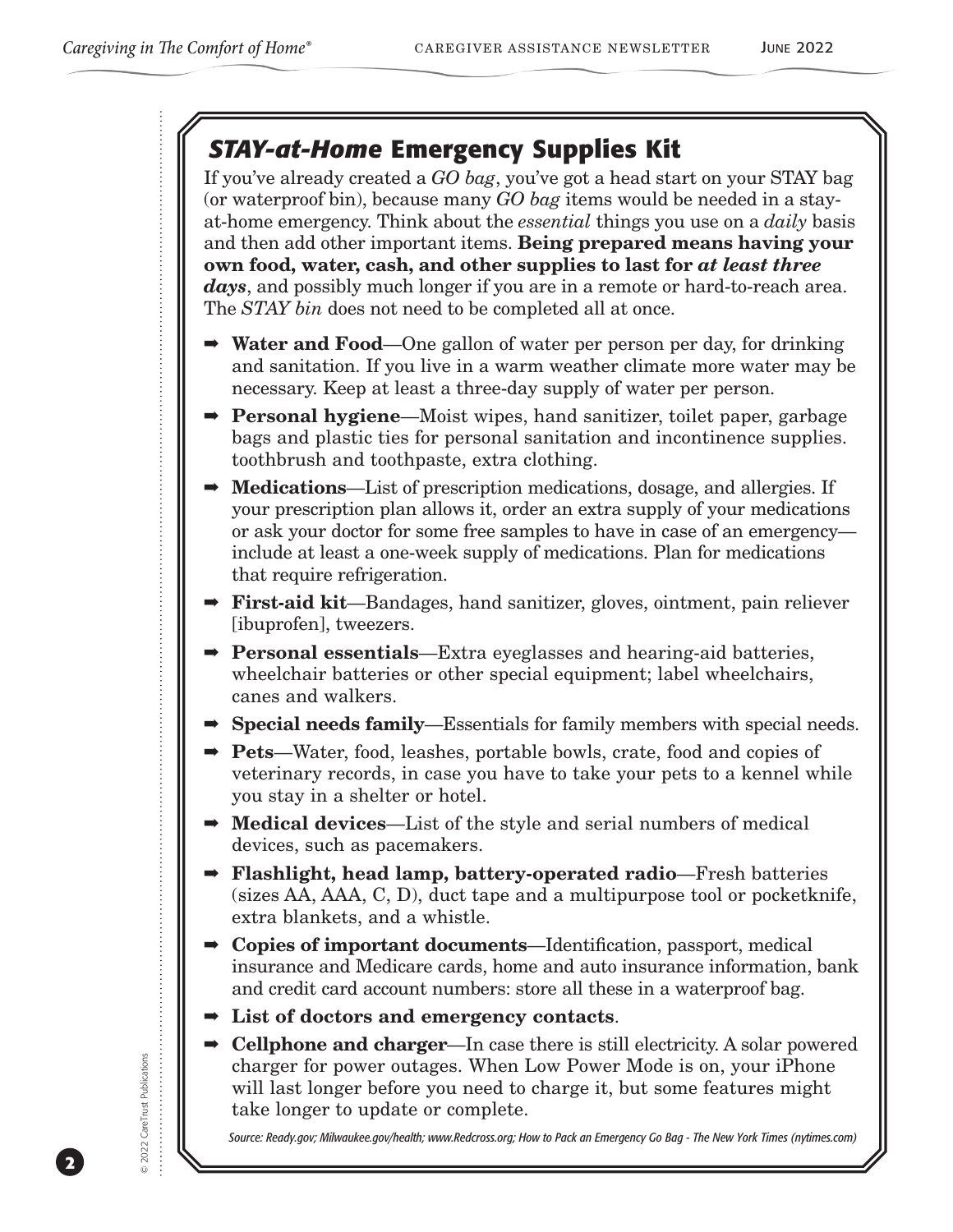# *STAY-at-Home* **Emergency Supplies Kit**

If you've already created a *GO bag*, you've got a head start on your STAY bag (or waterproof bin), because many *GO bag* items would be needed in a stayat-home emergency. Think about the *essential* things you use on a *daily* basis and then add other important items. **Being prepared means having your own food, water, cash, and other supplies to last for** *at least three days*, and possibly much longer if you are in a remote or hard-to-reach area. The *STAY bin* does not need to be completed all at once.

- ➡ **Water and Food**—One gallon of water per person per day, for drinking and sanitation. If you live in a warm weather climate more water may be necessary. Keep at least a three-day supply of water per person.
- ➡ **Personal hygiene**—Moist wipes, hand sanitizer, toilet paper, garbage bags and plastic ties for personal sanitation and incontinence supplies. toothbrush and toothpaste, extra clothing.
- ➡ **Medications**—List of prescription medications, dosage, and allergies. If your prescription plan allows it, order an extra supply of your medications or ask your doctor for some free samples to have in case of an emergency include at least a one-week supply of medications. Plan for medications that require refrigeration.
- ➡ **First-aid kit**—Bandages, hand sanitizer, gloves, ointment, pain reliever [ibuprofen], tweezers.
- ➡ **Personal essentials**—Extra eyeglasses and hearing-aid batteries, wheelchair batteries or other special equipment; label wheelchairs, canes and walkers.
- ➡ **Special needs family**—Essentials for family members with special needs.
- ➡ **Pets**—Water, food, leashes, portable bowls, crate, food and copies of veterinary records, in case you have to take your pets to a kennel while you stay in a shelter or hotel.
- ➡ **Medical devices**—List of the style and serial numbers of medical devices, such as pacemakers.
- ➡ **Flashlight, head lamp, battery-operated radio**—Fresh batteries (sizes AA, AAA, C, D), duct tape and a multipurpose tool or pocketknife, extra blankets, and a whistle.
- ➡ **Copies of important documents**—Identification, passport, medical insurance and Medicare cards, home and auto insurance information, bank and credit card account numbers: store all these in a waterproof bag.
- ➡ **List of doctors and emergency contacts**.
- ➡ **Cellphone and charger**—In case there is still electricity. A solar powered charger for power outages. When Low Power Mode is on, your iPhone will last longer before you need to charge it, but some features might take longer to update or complete.

*Source: Ready.gov; Milwaukee.gov/health; www.Redcross.org; How to Pack an Emergency Go Bag - The New York Times (nytimes.com)*

**2**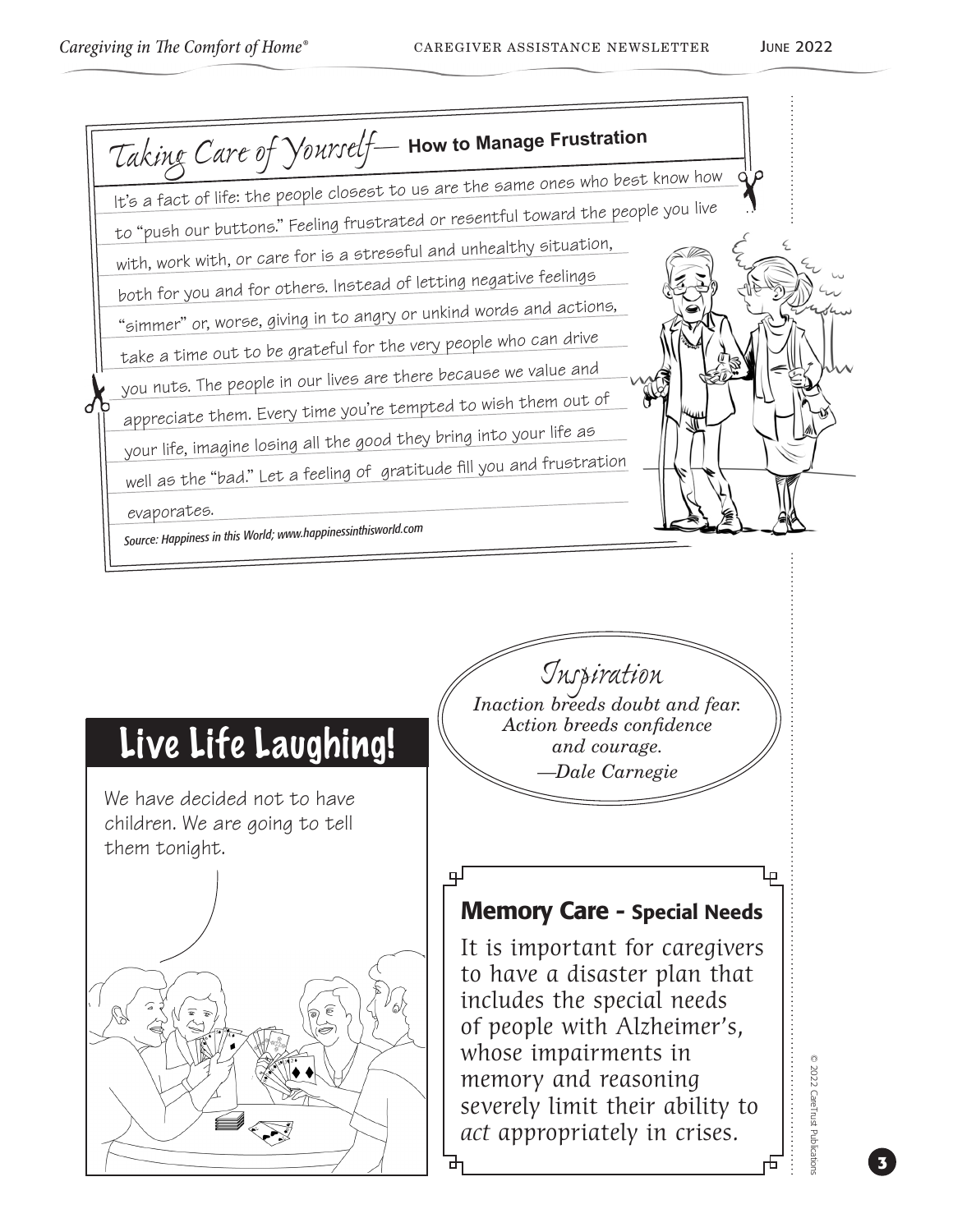

well as the "bad." Let a feeling of gratitude fill you and frustration

evaporates.

*Source: Happiness in this World; www.happinessinthisworld.com*

# Live Life Laughing!

We have decided not to have children. We are going to tell them tonight.



*Inspiration Inaction breeds doubt and fear. Action breeds confidence and courage. —Dale Carnegie*

## Memory Care - Special Needs

பு

It is important for caregivers to have a disaster plan that includes the special needs of people with Alzheimer's, whose impairments in memory and reasoning severely limit their ability to *act* appropriately in crises.

2022 CareTrust Publication © 2022 CareTrust Publications

Lр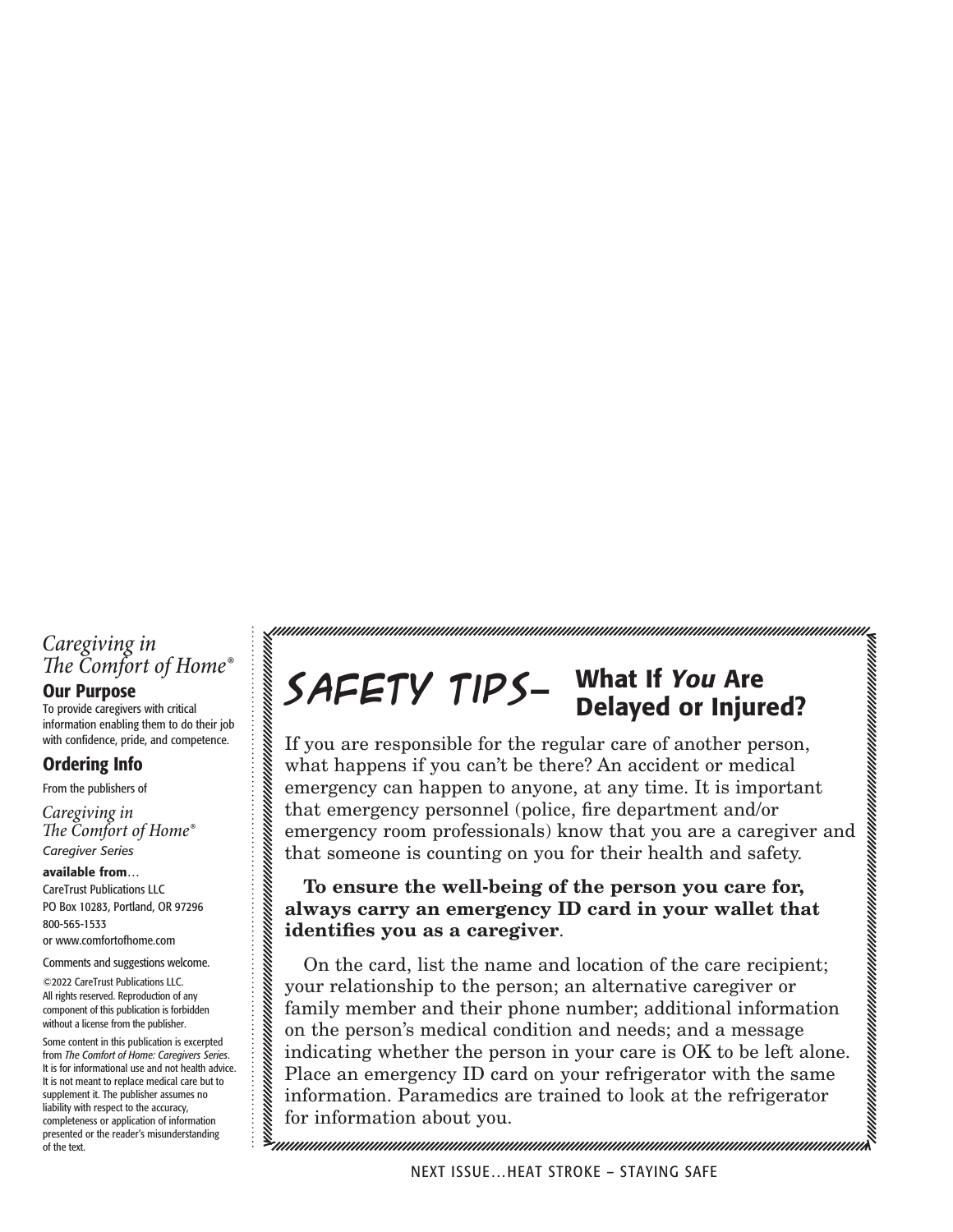## *Caregiving in The Comfort of Home®*

### Our Purpose

To provide caregivers with critical information enabling them to do their job with confidence, pride, and competence.

### Ordering Info

From the publishers of

*Caregiver Series Caregiving in The Comfort of Home®*

available from… CareTrust Publications LLC PO Box 10283, Portland, OR 97296 800-565-1533 or www.comfortofhome.com

#### Comments and suggestions welcome.

©2022 CareTrust Publications LLC. All rights reserved. Reproduction of any component of this publication is forbidden without a license from the publisher.

Some content in this publication is excerpted from *The Comfort of Home: Caregivers Series*. It is for informational use and not health advice. It is not meant to replace medical care but to supplement it. The publisher assumes no liability with respect to the accuracy, completeness or application of information presented or the reader's misunderstanding of the text.

### **Safety Tips**— What If *You* Are Delayed or Injured?

If you are responsible for the regular care of another person, what happens if you can't be there? An accident or medical emergency can happen to anyone, at any time. It is important that emergency personnel (police, fire department and/or emergency room professionals) know that you are a caregiver and that someone is counting on you for their health and safety.

## **To ensure the well-being of the person you care for, always carry an emergency ID card in your wallet that identifies you as a caregiver**.

On the card, list the name and location of the care recipient; your relationship to the person; an alternative caregiver or family member and their phone number; additional information on the person's medical condition and needs; and a message indicating whether the person in your care is OK to be left alone. Place an emergency ID card on your refrigerator with the same information. Paramedics are trained to look at the refrigerator for information about you.

<u>IMMUNINININININININININININI</u>